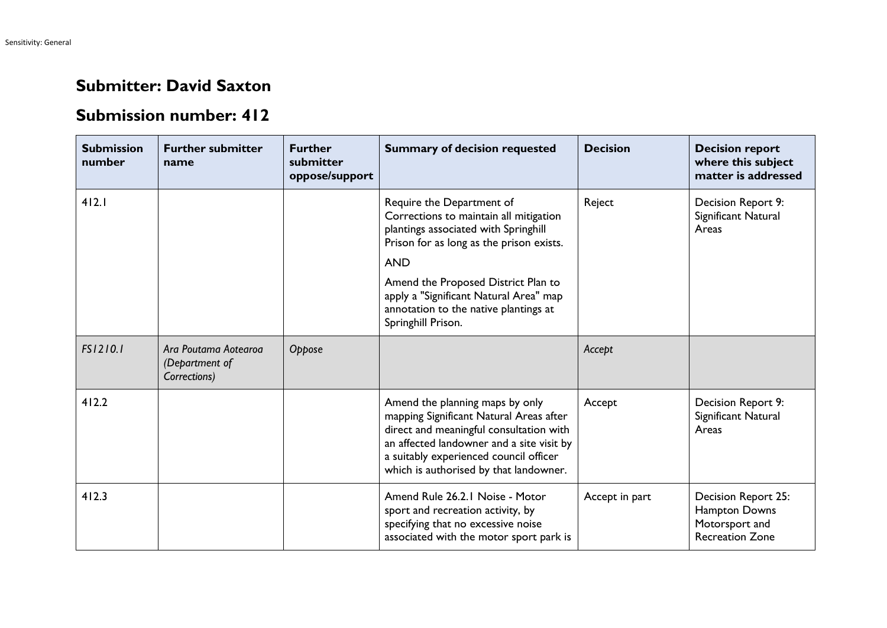## **Submitter: David Saxton**

## **Submission number: 412**

| <b>Submission</b><br>number | <b>Further submitter</b><br>name                       | <b>Further</b><br>submitter<br>oppose/support | <b>Summary of decision requested</b>                                                                                                                                                                                                                   | <b>Decision</b> | <b>Decision report</b><br>where this subject<br>matter is addressed              |
|-----------------------------|--------------------------------------------------------|-----------------------------------------------|--------------------------------------------------------------------------------------------------------------------------------------------------------------------------------------------------------------------------------------------------------|-----------------|----------------------------------------------------------------------------------|
| 412.1                       |                                                        |                                               | Require the Department of<br>Corrections to maintain all mitigation<br>plantings associated with Springhill<br>Prison for as long as the prison exists.<br><b>AND</b>                                                                                  | Reject          | Decision Report 9:<br>Significant Natural<br>Areas                               |
|                             |                                                        |                                               | Amend the Proposed District Plan to<br>apply a "Significant Natural Area" map<br>annotation to the native plantings at<br>Springhill Prison.                                                                                                           |                 |                                                                                  |
| FS1210.1                    | Ara Poutama Aotearoa<br>(Department of<br>Corrections) | Oppose                                        |                                                                                                                                                                                                                                                        | Accept          |                                                                                  |
| 412.2                       |                                                        |                                               | Amend the planning maps by only<br>mapping Significant Natural Areas after<br>direct and meaningful consultation with<br>an affected landowner and a site visit by<br>a suitably experienced council officer<br>which is authorised by that landowner. | Accept          | Decision Report 9:<br>Significant Natural<br>Areas                               |
| 412.3                       |                                                        |                                               | Amend Rule 26.2.1 Noise - Motor<br>sport and recreation activity, by<br>specifying that no excessive noise<br>associated with the motor sport park is                                                                                                  | Accept in part  | Decision Report 25:<br>Hampton Downs<br>Motorsport and<br><b>Recreation Zone</b> |